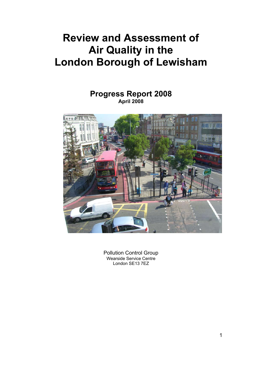# **Review and Assessment of Air Quality in the London Borough of Lewisham**

## **Progress Report 2008 April 2008**



Pollution Control Group Wearside Service Centre London SE13 7EZ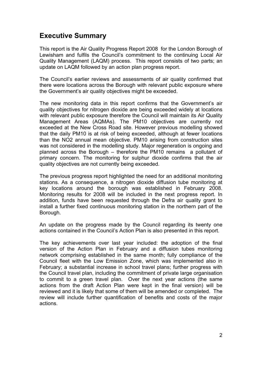## **Executive Summary**

This report is the Air Quality Progress Report 2008 for the London Borough of Lewisham and fulfils the Council's commitment to the continuing Local Air Quality Management (LAQM) process. This report consists of two parts; an update on LAQM followed by an action plan progress report.

The Council's earlier reviews and assessments of air quality confirmed that there were locations across the Borough with relevant public exposure where the Government's air quality objectives might be exceeded.

The new monitoring data in this report confirms that the Government's air quality objectives for nitrogen dioxide are being exceeded widely at locations with relevant public exposure therefore the Council will maintain its Air Quality Management Areas (AQMAs). The PM10 objectives are currently not exceeded at the New Cross Road site. However previous modelling showed that the daily PM10 is at risk of being exceeded, although at fewer locations than the NO2 annual mean objective. PM10 arising from construction sites was not considered in the modelling study. Major regeneration is ongoing and planned across the Borough – therefore the PM10 remains a pollutant of primary concern. The monitoring for sulphur dioxide confirms that the air quality objectives are not currently being exceeded.

The previous progress report highlighted the need for an additional monitoring stations. As a consequence, a nitrogen dioxide diffusion tube monitoring at key locations around the borough was established in February 2008. Monitoring results for 2008 will be included in the next progress report. In addition, funds have been requested through the Defra air quality grant to install a further fixed continuous monitoring station in the northern part of the Borough.

An update on the progress made by the Council regarding its twenty one actions contained in the Council's Action Plan is also presented in this report.

The key achievements over last year included: the adoption of the final version of the Action Plan in February and a diffusion tubes monitoring network comprising established in the same month; fully compliance of the Council fleet with the Low Emission Zone, which was implemented also in February; a substantial increase in school travel plans; further progress with the Council travel plan, including the commitment of private large organisation to commit to a green travel plan. Over the next year actions (the same actions from the draft Action Plan were kept in the final version) will be reviewed and it is likely that some of them will be amended or completed. The review will include further quantification of benefits and costs of the major actions.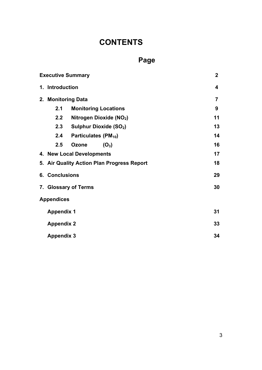# **CONTENTS**

# **Page**

|                                                                                                                                                                                                  | <b>Executive Summary</b> |                                     |                |  |
|--------------------------------------------------------------------------------------------------------------------------------------------------------------------------------------------------|--------------------------|-------------------------------------|----------------|--|
|                                                                                                                                                                                                  | 1. Introduction          |                                     | 4              |  |
|                                                                                                                                                                                                  |                          | 2. Monitoring Data                  | $\overline{7}$ |  |
|                                                                                                                                                                                                  | 2.1                      | <b>Monitoring Locations</b>         | 9              |  |
|                                                                                                                                                                                                  | 2.2                      | Nitrogen Dioxide (NO <sub>2</sub> ) | 11             |  |
|                                                                                                                                                                                                  | 2.3                      | <b>Sulphur Dioxide (SO2)</b>        | 13             |  |
|                                                                                                                                                                                                  | 2.4                      | Particulates (PM <sub>10</sub> )    | 14             |  |
|                                                                                                                                                                                                  | 2.5                      | <b>Ozone</b><br>$(O_3)$             | 16             |  |
| 4. New Local Developments<br>17<br>18<br>5. Air Quality Action Plan Progress Report<br><b>6. Conclusions</b><br>29<br>30<br>7. Glossary of Terms<br><b>Appendices</b><br>31<br><b>Appendix 1</b> |                          |                                     |                |  |
|                                                                                                                                                                                                  |                          |                                     |                |  |
|                                                                                                                                                                                                  |                          |                                     |                |  |
|                                                                                                                                                                                                  |                          |                                     |                |  |
|                                                                                                                                                                                                  |                          |                                     |                |  |
|                                                                                                                                                                                                  |                          |                                     |                |  |
|                                                                                                                                                                                                  | 33<br><b>Appendix 2</b>  |                                     |                |  |
|                                                                                                                                                                                                  | <b>Appendix 3</b>        |                                     | 34             |  |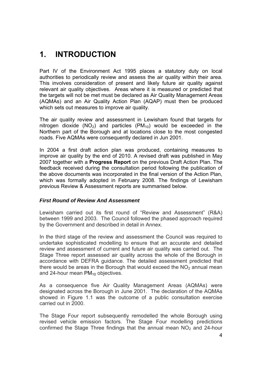# **1. INTRODUCTION**

Part IV of the Environment Act 1995 places a statutory duty on local authorities to periodically review and assess the air quality within their area. This involves consideration of present and likely future air quality against relevant air quality objectives. Areas where it is measured or predicted that the targets will not be met must be declared as Air Quality Management Areas (AQMAs) and an Air Quality Action Plan (AQAP) must then be produced which sets out measures to improve air quality.

The air quality review and assessment in Lewisham found that targets for nitrogen dioxide  $(NO<sub>2</sub>)$  and particles  $(PM<sub>10</sub>)$  would be exceeded in the Northern part of the Borough and at locations close to the most congested roads. Five AQMAs were consequently declared in Jun 2001.

In 2004 a first draft action plan was produced, containing measures to improve air quality by the end of 2010. A revised draft was published in May 2007 together with a **Progress Report** on the previous Draft Action Plan. The feedback received during the consultation period following the publication of the above documents was incorporated in the final version of the Action Plan, which was formally adopted in February 2008. The findings of Lewisham previous Review & Assessment reports are summarised below.

#### *First Round of Review And Assessment*

Lewisham carried out its first round of "Review and Assessment" (R&A) between 1999 and 2003. The Council followed the phased approach required by the Government and described in detail in Annex.

In the third stage of the review and assessment the Council was required to undertake sophisticated modelling to ensure that an accurate and detailed review and assessment of current and future air quality was carried out. The Stage Three report assessed air quality across the whole of the Borough in accordance with DEFRA guidance. The detailed assessment predicted that there would be areas in the Borough that would exceed the  $NO<sub>2</sub>$  annual mean and 24-hour mean  $PM_{10}$  objectives.

As a consequence five Air Quality Management Areas (AQMAs) were designated across the Borough in June 2001. The declaration of the AQMAs showed in Figure 1.1 was the outcome of a public consultation exercise carried out in 2000.

The Stage Four report subsequently remodelled the whole Borough using revised vehicle emission factors. The Stage Four modelling predictions confirmed the Stage Three findings that the annual mean  $NO<sub>2</sub>$  and 24-hour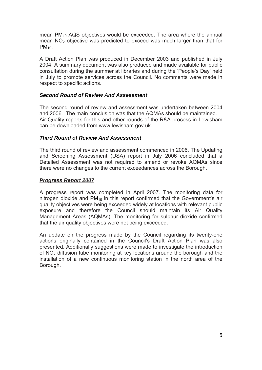mean  $PM_{10}$  AQS objectives would be exceeded. The area where the annual mean  $NO<sub>2</sub>$  objective was predicted to exceed was much larger than that for PM<sub>10</sub>.

A Draft Action Plan was produced in December 2003 and published in July 2004. A summary document was also produced and made available for public consultation during the summer at libraries and during the 'People's Day' held in July to promote services across the Council. No comments were made in respect to specific actions.

#### *Second Round of Review And Assessment*

The second round of review and assessment was undertaken between 2004 and 2006. The main conclusion was that the AQMAs should be maintained. Air Quality reports for this and other rounds of the R&A process in Lewisham can be downloaded from www.lewisham.gov.uk.

#### *Third Round of Review And Assessment*

The third round of review and assessment commenced in 2006. The Updating and Screening Assessment (USA) report in July 2006 concluded that a Detailed Assessment was not required to amend or revoke AQMAs since there were no changes to the current exceedances across the Borough.

#### *Progress Report 2007*

A progress report was completed in April 2007. The monitoring data for nitrogen dioxide and  $PM_{10}$  in this report confirmed that the Government's air quality objectives were being exceeded widely at locations with relevant public exposure and therefore the Council should maintain its Air Quality Management Areas (AQMAs). The monitoring for sulphur dioxide confirmed that the air quality objectives were not being exceeded.

An update on the progress made by the Council regarding its twenty-one actions originally contained in the Council's Draft Action Plan was also presented. Additionally suggestions were made to investigate the introduction of  $NO<sub>2</sub>$  diffusion tube monitoring at key locations around the borough and the installation of a new continuous monitoring station in the north area of the Borough.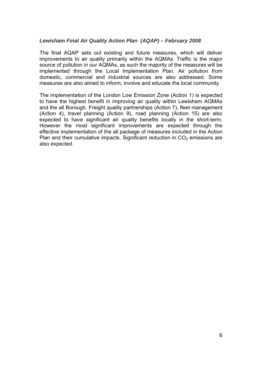#### *Lewisham Final Air Quality Action Plan (AQAP) – February 2008*

The final AQAP sets out existing and future measures, which will deliver improvements to air quality primarily within the AQMAs. Traffic is the major source of pollution in our AQMAs, as such the majority of the measures will be implemented through the Local Implementation Plan. Air pollution from domestic, commercial and industrial sources are also addressed. Some measures are also aimed to inform, involve and educate the local community.

The implementation of the London Low Emission Zone (Action 1) is expected to have the highest benefit in improving air quality within Lewisham AQMAs and the all Borough. Freight quality partnerships (Action 7), fleet management (Action 4), travel planning (Action 9), road planning (Action 15) are also expected to have significant air quality benefits locally in the short-term. However the most significant improvements are expected through the effective implementation of the all package of measures included in the Action Plan and their cumulative impacts. Significant reduction in  $CO<sub>2</sub>$  emissions are also expected.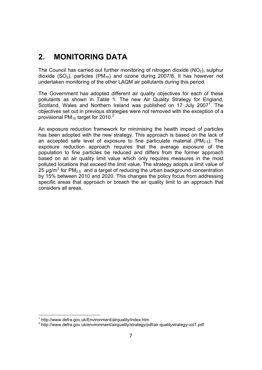# <span id="page-6-0"></span>**2. MONITORING DATA**

dioxide (SO<sub>2</sub>), particles (PM<sub>10</sub>) and ozone during 2007/8. It has however not undertaken monitoring of the other LAQM air pollutants during this period. The Council has carried out further monitoring of nitrogen dioxide  $(NO<sub>2</sub>)$ , sulphur

The Government has adopted different air quality objectives for each of these pollutants as shown in Table 1. The new Air Quality Strategy for England, Scotland, Wales and Northern Ireland was published on 17 July 2007<sup>1</sup>. The objectives set out in previous strategies were not removed with the exception of a provisional PM<sub>10</sub> target for 2010.<sup>2</sup>

 An exposure reduction framework for minimising the health impact of particles based on an air quality limit value which only requires measures in the most has been adopted with the new strategy. This approach is based on the lack of an accepted safe level of exposure to fine particulate material ( $PM_{2.5}$ ). The exposure reduction approach requires that the average exposure of the population to fine particles be reduced and differs from the former approach polluted locations that exceed the limit value. The strategy adopts a limit value of  $25 \mu g/m^3$  for PM<sub>2.5</sub> and a target of reducing the urban background concentration by 15% between 2010 and 2020. This changes the policy focus from addressing specific areas that approach or breach the air quality limit to an approach that considers all areas.

 1 http://www.defra.gov.uk/Environment/airquality/index.htm

<sup>&</sup>lt;sup>2</sup> http://www.defra.gov.uk/environment/airquality/strategy/pdf/air-qualitystrategy-vol1.pdf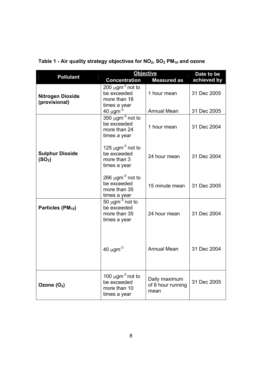| <b>Pollutant</b>                             | <b>Objective</b>                                                                 |                                            | Date to be  |
|----------------------------------------------|----------------------------------------------------------------------------------|--------------------------------------------|-------------|
|                                              | <b>Concentration</b>                                                             | <b>Measured as</b>                         | achieved by |
| <b>Nitrogen Dioxide</b><br>(provisional)     | 200 $\mu$ gm <sup>-3</sup> not to<br>be exceeded<br>more than 18                 | 1 hour mean                                | 31 Dec 2005 |
|                                              | times a year<br>40 $\mu$ gm <sup>-3</sup>                                        | <b>Annual Mean</b>                         | 31 Dec 2005 |
|                                              | $350 \mu$ gm <sup>-3</sup> not to<br>be exceeded<br>more than 24<br>times a year | 1 hour mean                                | 31 Dec 2004 |
| <b>Sulphur Dioxide</b><br>(SO <sub>2</sub> ) | 125 $\mu$ gm <sup>-3</sup> not to<br>be exceeded<br>more than 3<br>times a year  | 24 hour mean                               | 31 Dec 2004 |
|                                              | 266 $\mu$ gm <sup>-3</sup> not to<br>be exceeded<br>more than 35<br>times a year | 15 minute mean                             | 31 Dec 2005 |
| Particles (PM <sub>10</sub> )                | 50 $\mu$ gm <sup>-3</sup> not to<br>be exceeded<br>more than 35<br>times a year  | 24 hour mean                               | 31 Dec 2004 |
|                                              | 40 $\mu$ gm <sup>-3</sup>                                                        | <b>Annual Mean</b>                         | 31 Dec 2004 |
| Ozone $(O_3)$                                | 100 $\mu$ gm <sup>-3</sup> not to<br>be exceeded<br>more than 10<br>times a year | Daily maximum<br>of 8 hour running<br>mean | 31 Dec 2005 |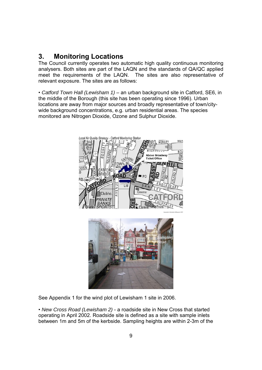## <span id="page-8-0"></span>**3. Monitoring Locations**

 meet the requirements of the LAQN. The sites are also representative of The Council currently operates two automatic high quality continuous monitoring analysers. Both sites are part of the LAQN and the standards of QA/QC applied relevant exposure. The sites are as follows:

 the middle of the Borough (this site has been operating since 1996). Urban • *Catford Town Hall (Lewisham 1)* – an urban background site in Catford, SE6, in locations are away from major sources and broadly representative of town/citywide background concentrations, e.g. urban residential areas. The species monitored are Nitrogen Dioxide, Ozone and Sulphur Dioxide.



See Appendix 1 for the wind plot of Lewisham 1 site in 2006.

• *New Cross Road (Lewisham 2)* - a roadside site in New Cross that started operating in April 2002. Roadside site is defined as a site with sample inlets between 1m and 5m of the kerbside. Sampling heights are within 2-3m of the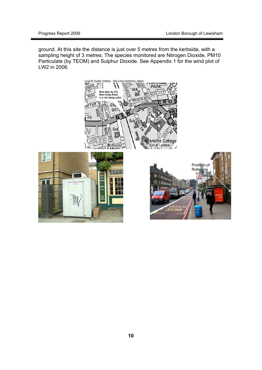ground. At this site the distance is just over 5 metres from the kerbside, with a sampling height of 3 metres. The species monitored are Nitrogen Dioxide, PM10 Particulate (by TEOM) and Sulphur Dioxide. See Appendix 1 for the wind plot of LW2 in 2006.

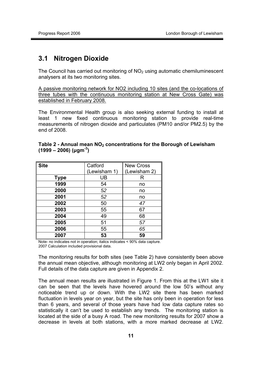#### **3.1 Nitrogen Dioxide**

The Council has carried out monitoring of  $NO<sub>2</sub>$  using automatic chemiluminescent analysers at its two monitoring sites.

A passive monitoring network for NO2 including 10 sites (and the co-locations of three tubes with the continuous monitoring station at New Cross Gate) was established in February 2008.

The Environmental Health group is also seeking external funding to install at least 1 new fixed continuous monitoring station to provide real-time measurements of nitrogen dioxide and particulates (PM10 and/or PM2.5) by the end of 2008.

| <b>Site</b> | Catford      | <b>New Cross</b> |
|-------------|--------------|------------------|
|             | (Lewisham 1) | (Lewisham 2)     |
| <b>Type</b> | UB           | R                |
| 1999        | 54           | no               |
| 2000        | 52           | no               |
| 2001        | 52           | no               |
| 2002        | 50           | 47               |
| 2003        | 55           | 67               |
| 2004        | 49           | 68               |
| 2005        | 51           | 57               |
| 2006        | 55           | 65               |
| 2007        | 53           | 59               |

#### Table 2 - Annual mean NO<sub>2</sub> concentrations for the Borough of Lewisham **(1999 – 2006) (μgm-3)**

Note- no indicates not in operation; italics indicates < 90% data capture. 2007 Calculation included provisional data.

 The monitoring results for both sites (see Table 2) have consistently been above the annual mean objective, although monitoring at LW2 only began in April 2002. Full details of the data capture are given in Appendix 2.

The annual mean results are illustrated in Figure 1. From this at the LW1 site it can be seen that the levels have hovered around the low 50's without any noticeable trend up or down. With the LW2 site there has been marked fluctuation in levels year on year, but the site has only been in operation for less than 6 years, and several of those years have had low data capture rates so statistically it can't be used to establish any trends. The monitoring station is located at the side of a busy A road. The new monitoring results for 2007 show a decrease in levels at both stations, with a more marked decrease at LW2.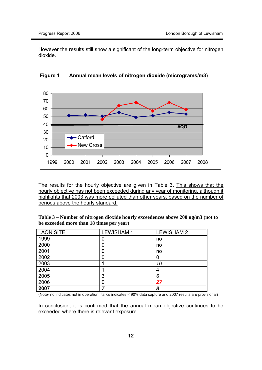However the results still show a significant of the long-term objective for nitrogen dioxide.



**Figure 1 Figure 1 Annual mean levels of nitrogen dioxide (micrograms/m3)** 

The results for the hourly objective are given in Table 3. This shows that the hourly objective has not been exceeded during any year of monitoring, although it highlights that 2003 was more polluted than other years, based on the number of periods above the hourly standard.

 **Table 3 – Number of nitrogen dioxide hourly exceedences above 200 ug/m3 (not to be exceeded more than 18 times per year)** 

| <b>LAQN SITE</b> | <b>LEWISHAM1</b> | <b>LEWISHAM 2</b> |
|------------------|------------------|-------------------|
| 1999             |                  | no                |
| 2000             |                  | no                |
| 2001             |                  | no                |
| 2002             |                  |                   |
| 2003             |                  | 10                |
| 2004             |                  | 4                 |
| 2005             | 3                | 6                 |
| 2006             |                  | 27                |
| 2007             |                  | 8                 |

(Note- no indicates not in operation; italics indicates < 90% data capture and 2007 results are provisional)

In conclusion, it is confirmed that the annual mean objective continues to be exceeded where there is relevant exposure.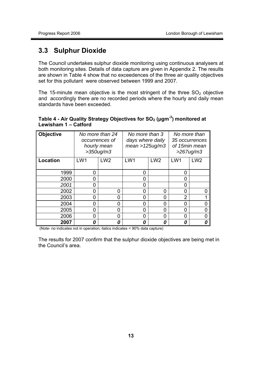### **3.3 Sulphur Dioxide**

 set for this pollutant were observed between 1999 and 2007. The Council undertakes sulphur dioxide monitoring using continuous analysers at both monitoring sites. Details of data capture are given in Appendix 2. The results are shown in Table 4 show that no exceedences of the three air quality objectives

The 15-minute mean objective is the most stringent of the three  $SO<sub>2</sub>$  objective and accordingly there are no recorded periods where the hourly and daily mean standards have been exceeded.

#### **Table 4 - Air Quality Strategy Objectives for SO2 (μgm-3) monitored at Lewisham 1 – Catford**

| <b>Objective</b> |     | No more than 24<br>occurrences of<br>hourly mean<br>$>350$ ug/m $3$ | No more than 3<br>days where daily<br>$mean > 125$ ug/m3 |                 |                | No more than<br>35 occurrences<br>of 15min mean<br>$>267$ ug/m3 |
|------------------|-----|---------------------------------------------------------------------|----------------------------------------------------------|-----------------|----------------|-----------------------------------------------------------------|
| Location         | LW1 | LW <sub>2</sub>                                                     | LW1                                                      | LW <sub>2</sub> | LW1            | LW <sub>2</sub>                                                 |
| 1999             | 0   |                                                                     | 0                                                        |                 | 0              |                                                                 |
| 2000             | 0   |                                                                     | 0                                                        |                 | 0              |                                                                 |
| 2001             | O   |                                                                     | 0                                                        |                 | 0              |                                                                 |
| 2002             | 0   | ი                                                                   | 0                                                        | 0               | 0              | O                                                               |
| 2003             | 0   | ი                                                                   | 0                                                        | ი               | $\overline{2}$ |                                                                 |
| 2004             | 0   | N                                                                   | 0                                                        | 0               | $\overline{0}$ |                                                                 |
| 2005             | 0   | N                                                                   | 0                                                        | O               | $\overline{0}$ |                                                                 |
| 2006             | 0   | ი                                                                   | 0                                                        | 0               | 0              |                                                                 |
| 2007             | Π   | Ω                                                                   | 0                                                        | Ω               | 0              |                                                                 |

(Note- no indicates not in operation; italics indicates < 90% data capture)

The results for 2007 confirm that the sulphur dioxide objectives are being met in the Council's area.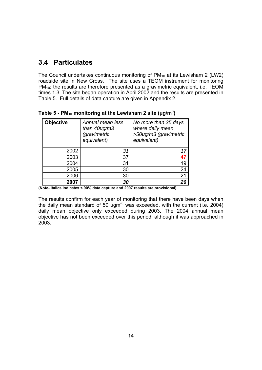# **3.4 Particulates**

 Table 5. Full details of data capture are given in Appendix 2. The Council undertakes continuous monitoring of  $PM_{10}$  at its Lewisham 2 (LW2) roadside site in New Cross. The site uses a TEOM instrument for monitoring PM<sub>10</sub>; the results are therefore presented as a gravimetric equivalent, i.e. TEOM times 1.3. The site began operation in April 2002 and the results are presented in

| <b>Objective</b> | Annual mean less<br>than $40$ ug/m $3$<br><i>(gravimetric</i><br>equivalent) | No more than 35 days<br>where daily mean<br>>50ug/m3 (gravimetric<br>equivalent) |
|------------------|------------------------------------------------------------------------------|----------------------------------------------------------------------------------|
| 2002             | 31                                                                           | 17                                                                               |
| 2003             | 37                                                                           | 47                                                                               |
| 2004             | 31                                                                           | 19                                                                               |
| 2005             | 30                                                                           | 24                                                                               |
| 2006             | 30                                                                           | 21                                                                               |
| 2007             | 30                                                                           | 26                                                                               |

**Table 5 - PM10 monitoring at the Lewisham 2 site (μg/m3 )** 

**(Note- italics indicates < 90% data capture and 2007 results are provisional)** 

The results confirm for each year of monitoring that there have been days when the daily mean standard of 50 µgm<sup>-3</sup> was exceeded, with the current (i.e. 2004) daily mean objective only exceeded during 2003. The 2004 annual mean objective has not been exceeded over this period, although it was approached in 2003.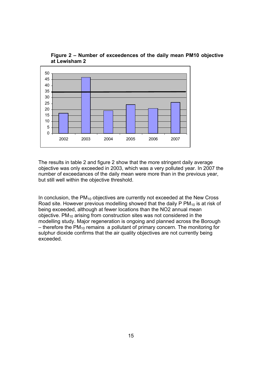

**Figure 2 – Number of exceedences of the daily mean PM10 objective at Lewisham 2** 

The results in table 2 and figure 2 show that the more stringent daily average objective was only exceeded in 2003, which was a very polluted year. In 2007 the number of exceedances of the daily mean were more than in the previous year, but still well within the objective threshold.

In conclusion, the  $PM_{10}$  objectives are currently not exceeded at the New Cross Road site. However previous modelling showed that the daily  $PPM_{10}$  is at risk of being exceeded, although at fewer locations than the NO2 annual mean objective. PM10 arising from construction sites was not considered in the modelling study. Major regeneration is ongoing and planned across the Borough  $-$  therefore the PM<sub>10</sub> remains a pollutant of primary concern. The monitoring for sulphur dioxide confirms that the air quality objectives are not currently being exceeded.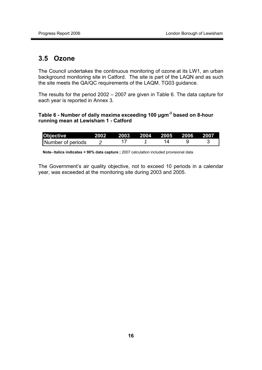## **3.5 Ozone**

The Council undertakes the continuous monitoring of ozone at its LW1, an urban background monitoring site in Catford. The site is part of the LAQN and as such the site meets the QA/QC requirements of the LAQM. TG03 guidance.

The results for the period 2002 – 2007 are given in Table 6. The data capture for each year is reported in Annex 3.

#### **Table 6 - Number of daily maxima exceeding 100 μgm-3 based on 8-hour running mean at Lewisham 1 - Catford**

| <b>Objective</b>  | 2002 2003 2004 2005 2006 2007 |  |  |
|-------------------|-------------------------------|--|--|
| Number of periods |                               |  |  |

 **Note- italics indicates < 90% data capture ;** 2007 calculation included provisional data.

 year, was exceeded at the monitoring site during 2003 and 2005. The Government's air quality objective, not to exceed 10 periods in a calendar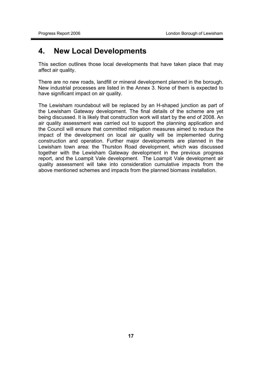## <span id="page-16-0"></span>**4. New Local Developments**

affect air quality. This section outlines those local developments that have taken place that may

There are no new roads, landfill or mineral development planned in the borough. New industrial processes are listed in the Annex 3. None of them is expected to have significant impact on air quality.

The Lewisham roundabout will be replaced by an H-shaped junction as part of the Lewisham Gateway development. The final details of the scheme are yet being discussed. It is likely that construction work will start by the end of 2008. An air quality assessment was carried out to support the planning application and the Council will ensure that committed mitigation measures aimed to reduce the impact of the development on local air quality will be implemented during construction and operation. Further major developments are planned in the Lewisham town area: the Thurston Road development, which was discussed together with the Lewisham Gateway development in the previous progress report, and the Loampit Vale development. The Loampit Vale development air quality assessment will take into consideration cumulative impacts from the above mentioned schemes and impacts from the planned biomass installation.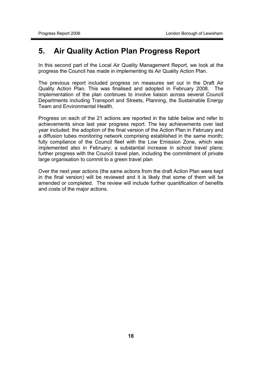# <span id="page-17-0"></span>**5. Air Quality Action Plan Progress Report**

In this second part of the Local Air Quality Management Report, we look at the progress the Council has made in implementing its Air Quality Action Plan.

The previous report included progress on measures set out in the Draft Air Quality Action Plan. This was finalised and adopted in February 2008. The Implementation of the plan continues to involve liaison across several Council Departments including Transport and Streets, Planning, the Sustainable Energy Team and Environmental Health.

 large organisation to commit to a green travel plan Progress on each of the 21 actions are reported in the table below and refer to achievements since last year progress report. The key achievements over last year included: the adoption of the final version of the Action Plan in February and a diffusion tubes monitoring network comprising established in the same month; fully compliance of the Council fleet with the Low Emission Zone, which was implemented also in February; a substantial increase in school travel plans; further progress with the Council travel plan, including the commitment of private

 in the final version) will be reviewed and it is likely that some of them will be Over the next year actions (the same actions from the draft Action Plan were kept amended or completed. The review will include further quantification of benefits and costs of the major actions.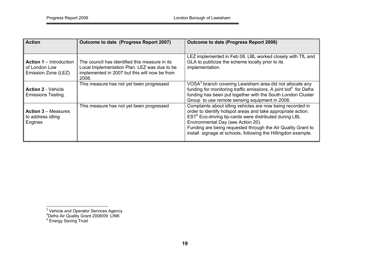| <b>Action</b>                                                          | Outcome to date (Progress Report 2007)                                                                                                                   | Outcome to date (Progress Report 2008)                                                                                                                                                                                                                                                                                                                                  |
|------------------------------------------------------------------------|----------------------------------------------------------------------------------------------------------------------------------------------------------|-------------------------------------------------------------------------------------------------------------------------------------------------------------------------------------------------------------------------------------------------------------------------------------------------------------------------------------------------------------------------|
| <b>Action 1 – Introduction</b><br>of London Low<br>Emission Zone (LEZ) | The council has identified this measure in its<br>Local Implementation Plan. LEZ was due to be<br>implemented in 2007 but this will now be from<br>2008. | LEZ implemented in Feb 08. LBL worked closely with TfL and<br>GLA to publicize the scheme locally prior to its<br>implementation.                                                                                                                                                                                                                                       |
| <b>Action 2 - Vehicle</b><br><b>Emissions Testing.</b>                 | This measure has not yet been progressed                                                                                                                 | VOSA <sup>3</sup> branch covering Lewisham area did not allocate any<br>funding for monitoring traffic emissions. A joint bid <sup>4</sup> for Defra<br>funding has been put together with the South London Cluster<br>Group to use remote sensing equipment in 2008.                                                                                                   |
| <b>Action 3 – Measures</b><br>to address idling<br>Engines             | This measure has not yet been progressed                                                                                                                 | Complaints about idling vehicles are now being recorded in<br>order to identify hotspot areas and take appropriate action.<br>EST <sup>5</sup> Eco-driving tip-cards were distributed during LBL<br>Environmental Day (see Action 20).<br>Funding are being requested through the Air Quality Grant to<br>install signage at schools, following the Hillingdon example. |

<sup>&</sup>lt;sup>3</sup> Vehicle and Operator Services Agency<br>
<sup>4</sup>Defra Air Quality Grant 2008/09 LINK<br>
<sup>5</sup> Energy Saving Trust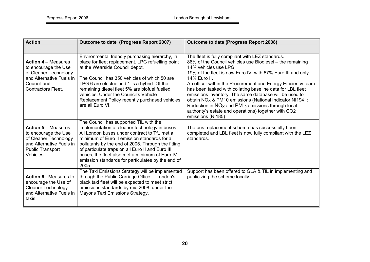| <b>Action</b>                                                                                                                                         | Outcome to date (Progress Report 2007)                                                                                                                                                                                                                                                                                                                                                                              | <b>Outcome to date (Progress Report 2008)</b>                                                                                                                                                                                                                                                                                                                                                                                                                                                                                                                                                                 |
|-------------------------------------------------------------------------------------------------------------------------------------------------------|---------------------------------------------------------------------------------------------------------------------------------------------------------------------------------------------------------------------------------------------------------------------------------------------------------------------------------------------------------------------------------------------------------------------|---------------------------------------------------------------------------------------------------------------------------------------------------------------------------------------------------------------------------------------------------------------------------------------------------------------------------------------------------------------------------------------------------------------------------------------------------------------------------------------------------------------------------------------------------------------------------------------------------------------|
| <b>Action 4 – Measures</b><br>to encourage the Use<br>of Cleaner Technology<br>and Alternative Fuels in<br>Council and<br><b>Contractors Fleet.</b>   | Environmental friendly purchasing hierarchy, in<br>place for fleet replacement. LPG refuelling point<br>at the Wearside Council depot.<br>The Council has 350 vehicles of which 50 are<br>LPG 6 are electric and 1 is a hybrid. Of the<br>remaining diesel fleet 5% are biofuel fuelled<br>vehicles. Under the Council's Vehicle<br>Replacement Policy recently purchased vehicles<br>are all Euro VI.              | The fleet is fully compliant with LEZ standards.<br>86% of the Council vehicles use Biodiesel - the remaining<br>14% vehicles use LPG<br>19% of the fleet is now Euro IV, with 67% Euro III and only<br>14% Euro II.<br>An officer within the Procurement and Energy Efficiency team<br>has been tasked with collating baseline data for LBL fleet<br>emissions inventory. The same database will be used to<br>obtain NOx & PM10 emissions (National Indicator NI194::<br>Reduction in $NOX$ and $PM10$ emissions through local<br>authority's estate and operations) together with CO2<br>emissions (NI185) |
| <b>Action 5 - Measures</b><br>to encourage the Use<br>of Cleaner Technology<br>and Alternative Fuels in<br><b>Public Transport</b><br><b>Vehicles</b> | The Council has supported TfL with the<br>implementation of cleaner technology in buses.<br>All London buses under contract to TfL met a<br>minimum of Euro II emission standards for all<br>pollutants by the end of 2005. Through the fitting<br>of particulate traps on all Euro II and Euro III<br>buses, the fleet also met a minimum of Euro IV<br>emission standards for particulates by the end of<br>2005. | The bus replacement scheme has successfully been<br>completed and LBL fleet is now fully compliant with the LEZ<br>standards.                                                                                                                                                                                                                                                                                                                                                                                                                                                                                 |
| <b>Action 6 - Measures to</b><br>encourage the Use of<br><b>Cleaner Technology</b><br>and Alternative Fuels in<br>taxis                               | The Taxi Emissions Strategy will be implemented<br>through the Public Carriage Office London's<br>black taxi fleet will be expected to meet strict<br>emissions standards by mid 2008, under the<br>Mayor's Taxi Emissions Strategy.                                                                                                                                                                                | Support has been offered to GLA & TfL in implementing and<br>publicizing the scheme locally                                                                                                                                                                                                                                                                                                                                                                                                                                                                                                                   |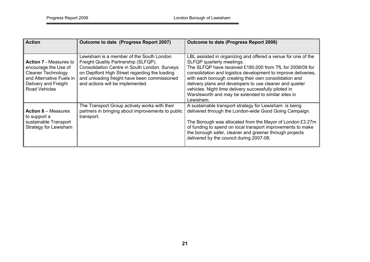| <b>Action</b>                                                                                                                                                  | Outcome to date (Progress Report 2007)                                                                                                                                                                                                                                 | Outcome to date (Progress Report 2008)                                                                                                                                                                                                                                                                                                                                                                                                                                      |
|----------------------------------------------------------------------------------------------------------------------------------------------------------------|------------------------------------------------------------------------------------------------------------------------------------------------------------------------------------------------------------------------------------------------------------------------|-----------------------------------------------------------------------------------------------------------------------------------------------------------------------------------------------------------------------------------------------------------------------------------------------------------------------------------------------------------------------------------------------------------------------------------------------------------------------------|
| <b>Action 7 - Measures to</b><br>encourage the Use of<br><b>Cleaner Technology</b><br>and Alternative Fuels in<br>Delivery and Freight<br><b>Road Vehicles</b> | Lewisham is a member of the South London<br>Freight Quality Partnership (SLFQP).<br>Consolidation Centre in South London. Surveys<br>on Deptford High Street regarding the loading<br>and unloading freight have been commissioned<br>and actions will be implemented. | LBL assisted in organizing and offered a venue for one of the<br>SLFQP quarterly meetings.<br>The SLFQP have received £180,000 from TfL for 2008/09 for<br>consolidation and logistics development to improve deliveries,<br>with each borough creating their own consolidation and<br>delivery plans and developers to use cleaner and quieter<br>vehicles. Night time delivery successfully piloted in<br>Wandsworth and may be extended to similar sites in<br>Lewisham. |
| <b>Action 8 – Measures</b><br>to support a<br>sustainable Transport<br><b>Strategy for Lewisham</b>                                                            | The Transport Group actively works with their<br>partners in bringing about improvements to public<br>transport.                                                                                                                                                       | A sustainable transport strategy for Lewisham is being<br>delivered through the London-wide Good Going Campaign.<br>The Borough was allocated from the Mayor of London £3.27m<br>of funding to spend on local transport improvements to make<br>the borough safer, cleaner and greener through projects<br>delivered by the council during 2007-08.                                                                                                                         |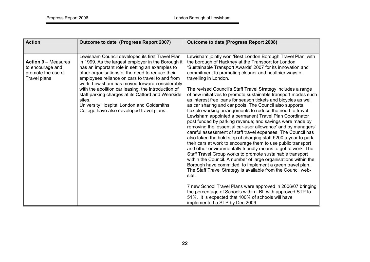| <b>Action</b>                                                                        | Outcome to date (Progress Report 2007)                                                                                                                                                                                                                                                                                                                                                                                                                                                                                            | <b>Outcome to date (Progress Report 2008)</b>                                                                                                                                                                                                                                                                                                                                                                                                                                                                                                                                                                                                                                                                                                                                                                                                                                                                                                                                                                                                                                                                                                                                                                                                                                                                                                                                                                                                                                                                                                  |
|--------------------------------------------------------------------------------------|-----------------------------------------------------------------------------------------------------------------------------------------------------------------------------------------------------------------------------------------------------------------------------------------------------------------------------------------------------------------------------------------------------------------------------------------------------------------------------------------------------------------------------------|------------------------------------------------------------------------------------------------------------------------------------------------------------------------------------------------------------------------------------------------------------------------------------------------------------------------------------------------------------------------------------------------------------------------------------------------------------------------------------------------------------------------------------------------------------------------------------------------------------------------------------------------------------------------------------------------------------------------------------------------------------------------------------------------------------------------------------------------------------------------------------------------------------------------------------------------------------------------------------------------------------------------------------------------------------------------------------------------------------------------------------------------------------------------------------------------------------------------------------------------------------------------------------------------------------------------------------------------------------------------------------------------------------------------------------------------------------------------------------------------------------------------------------------------|
|                                                                                      |                                                                                                                                                                                                                                                                                                                                                                                                                                                                                                                                   |                                                                                                                                                                                                                                                                                                                                                                                                                                                                                                                                                                                                                                                                                                                                                                                                                                                                                                                                                                                                                                                                                                                                                                                                                                                                                                                                                                                                                                                                                                                                                |
| <b>Action 9 – Measures</b><br>to encourage and<br>promote the use of<br>Travel plans | Lewisham Council developed its first Travel Plan<br>in 1999. As the largest employer in the Borough it<br>has an important role in setting an examples to<br>other organisations of the need to reduce their<br>employees reliance on cars to travel to and from<br>work. Lewisham has moved forward considerably<br>with the abolition car leasing, the introduction of<br>staff parking charges at its Catford and Wearside<br>sites.<br>University Hospital London and Goldsmiths<br>College have also developed travel plans. | Lewisham jointly won 'Best London Borough Travel Plan' with<br>the borough of Hackney at the Transport for London<br>'Sustainable Transport Awards' 2007 for its innovation and<br>commitment to promoting cleaner and healthier ways of<br>travelling in London.<br>The revised Council's Staff Travel Strategy includes a range<br>of new initiatives to promote sustainable transport modes such<br>as interest free loans for season tickets and bicycles as well<br>as car sharing and car pools. The Council also supports<br>flexible working arrangements to reduce the need to travel.<br>Lewisham appointed a permanent Travel Plan Coordinator<br>post funded by parking revenue; and savings were made by<br>removing the 'essential car-user allowance' and by managers'<br>careful assessment of staff travel expenses. The Council has<br>also taken the bold step of charging staff £200 a year to park<br>their cars at work to encourage them to use public transport<br>and other environmentally friendly means to get to work. The<br>Staff Travel Group works to promote sustainable transport<br>within the Council. A number of large organisations within the<br>Borough have committed to implement a green travel plan.<br>The Staff Travel Strategy is available from the Council web-<br>site.<br>7 new School Travel Plans were approved in 2006/07 bringing<br>the percentage of Schools within LBL with approved STP to<br>51%. It is expected that 100% of schools will have<br>implemented a STP by Dec 2009 |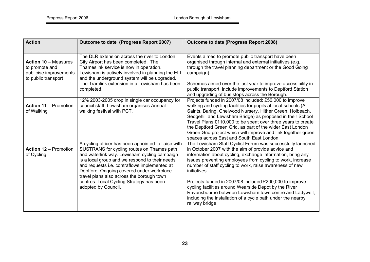| <b>Action</b>                                                                                  | Outcome to date (Progress Report 2007)                                                                                                                                                                                                                                                                                                                                                                           | <b>Outcome to date (Progress Report 2008)</b>                                                                                                                                                                                                                                                                                                                                                                                                                                                                                                                                           |  |  |  |  |
|------------------------------------------------------------------------------------------------|------------------------------------------------------------------------------------------------------------------------------------------------------------------------------------------------------------------------------------------------------------------------------------------------------------------------------------------------------------------------------------------------------------------|-----------------------------------------------------------------------------------------------------------------------------------------------------------------------------------------------------------------------------------------------------------------------------------------------------------------------------------------------------------------------------------------------------------------------------------------------------------------------------------------------------------------------------------------------------------------------------------------|--|--|--|--|
|                                                                                                |                                                                                                                                                                                                                                                                                                                                                                                                                  |                                                                                                                                                                                                                                                                                                                                                                                                                                                                                                                                                                                         |  |  |  |  |
| <b>Action 10 - Measures</b><br>to promote and<br>publicise improvements<br>to public transport | The DLR extension across the river to London<br>City Airport has been completed. The<br>Thameslink service is now in operation.<br>Lewisham is actively involved in planning the ELL<br>and the underground system will be upgraded.<br>The Tramlink extension into Lewisham has been                                                                                                                            | Events aimed to promote public transport have been<br>organised through internal and external initiatives (e.g.<br>through the travel planning department or the Good Going<br>campaign)<br>Schemes aimed over the last year to improve accessibility in                                                                                                                                                                                                                                                                                                                                |  |  |  |  |
|                                                                                                | completed.                                                                                                                                                                                                                                                                                                                                                                                                       | public transport, include improvements to Deptford Station<br>and upgrading of bus stops across the Borough.                                                                                                                                                                                                                                                                                                                                                                                                                                                                            |  |  |  |  |
| <b>Action 11 - Promotion</b><br>of Walking                                                     | 12% 2003-2005 drop in single car occupancy for<br>council staff. Lewisham organises Annual<br>walking festival with PCT.                                                                                                                                                                                                                                                                                         | Projects funded in 2007/08 included: £50,000 to improve<br>walking and cycling facilities for pupils at local schools (All<br>Saints, Baring, Chelwood Nursery, Hither Green, Holbeach,<br>Sedgehill and Lewisham Bridge) as proposed in their School<br>Travel Plans £110,000 to be spent over three years to create<br>the Deptford Green Grid, as part of the wider East London<br>Green Grid project which will improve and link together green<br>spaces across East and South East London                                                                                         |  |  |  |  |
| <b>Action 12 - Promotion</b><br>of Cycling                                                     | A cycling officer has been appointed to liaise with<br>SUSTRANS for cycling routes on Thames path<br>and waterlink way. Lewisham cycling campaign<br>is a local group and we respond to their needs<br>and requests i.e. contraflows implemented at<br>Deptford. Ongoing covered under workplace<br>travel plans also across the borough town<br>centres. Local Cycling Strategy has been<br>adopted by Council. | The Lewisham Staff Cyclist Forum was successfully launched<br>in October 2007 with the aim of provide advice and<br>information about cycling, exchange information, bring any<br>issues preventing employees from cycling to work, increase<br>number of staff cycling to work, raise awareness of new<br>initiatives.<br>Projects funded in 2007/08 included:£200,000 to improve<br>cycling facilities around Wearside Depot by the River<br>Ravensbourne between Lewisham town centre and Ladywell,<br>including the installation of a cycle path under the nearby<br>railway bridge |  |  |  |  |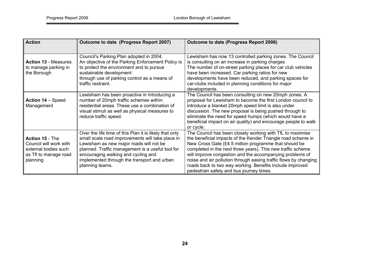| <b>Action</b>                                                                                          | Outcome to date (Progress Report 2007)                                                                                                                                                                                                                                                                             | Outcome to date (Progress Report 2008)                                                                                                                                                                                                                                                                                                                                                                                                                                                    |
|--------------------------------------------------------------------------------------------------------|--------------------------------------------------------------------------------------------------------------------------------------------------------------------------------------------------------------------------------------------------------------------------------------------------------------------|-------------------------------------------------------------------------------------------------------------------------------------------------------------------------------------------------------------------------------------------------------------------------------------------------------------------------------------------------------------------------------------------------------------------------------------------------------------------------------------------|
|                                                                                                        |                                                                                                                                                                                                                                                                                                                    |                                                                                                                                                                                                                                                                                                                                                                                                                                                                                           |
| <b>Action 13 - Measures</b><br>to manage parking in<br>the Borough                                     | Council's Parking Plan adopted in 2004.<br>An objective of the Parking Enforcement Policy is<br>to protect the environment and to pursue<br>sustainable development<br>through use of parking control as a means of<br>traffic restraint.                                                                          | Lewisham has now 13 controlled parking zones. The Council<br>is consulting on an increase in parking charges<br>The number of on-street parking places for car club vehicles<br>have been increased. Car parking ratios for new<br>developments have been reduced, and parking spaces for<br>car-clubs included in planning conditions for major<br>developments.                                                                                                                         |
| Action 14 - Speed<br>Management                                                                        | Lewisham has been proactive in introducing a<br>number of 20mph traffic schemes within<br>residential areas. These use a combination of<br>visual stimuli as well as physical measures to<br>reduce traffic speed.                                                                                                 | The Council has been consulting on new 20mph zones. A<br>proposal for Lewisham to become the first London council to<br>introduce a blanket 20mph speed limit is also under<br>discussion. The new proposal is being pushed through to<br>eliminate the need for speed humps (which would have a<br>beneficial impact on air quality) and encourage people to walk<br>or cycle.                                                                                                           |
| Action 15 - The<br>Council will work with<br>external bodies such<br>as Tfl to manage road<br>planning | Over the life time of this Plan it is likely that only<br>small scale road improvements will take place in<br>Lewisham as new major roads will not be<br>planned. Traffic management is a useful tool for<br>encouraging walking and cycling and<br>implemented through the transport and urban<br>planning teams. | The Council has been closely working with TfL to maximise<br>the beneficial impacts of the Kender Triangle road scheme in<br>New Cross Gate (£4.5 million programme that should be<br>completed in the next three years). This new traffic scheme<br>will improve congestion and the accompanying problems of<br>noise and air pollution through easing traffic flows by changing<br>roads back to two way working. Benefits include improved<br>pedestrian safety and bus journey times. |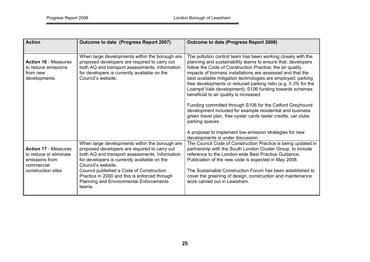| <b>Action</b>                                                                         | Outcome to date (Progress Report 2007)                                                                                                                                                                                  | <b>Outcome to date (Progress Report 2008)</b>                                                                                                                                                                                                                                                                                                                                                                                                                                                                                                                                                                                                                                                               |  |  |  |  |
|---------------------------------------------------------------------------------------|-------------------------------------------------------------------------------------------------------------------------------------------------------------------------------------------------------------------------|-------------------------------------------------------------------------------------------------------------------------------------------------------------------------------------------------------------------------------------------------------------------------------------------------------------------------------------------------------------------------------------------------------------------------------------------------------------------------------------------------------------------------------------------------------------------------------------------------------------------------------------------------------------------------------------------------------------|--|--|--|--|
| <b>Action 16 - Measures</b><br>to reduce emissions<br>from new<br>developments        | When large developments within the borough are<br>proposed developers are required to carry out<br>both AQ and transport assessments. Information<br>for developers is currently available on the<br>Council's website. | The pollution control team has been working closely with the<br>planning and sustainability teams to ensure that: developers<br>follow the Code of Construction Practice; the air quality<br>impacts of biomass installations are assessed and that the<br>best available mitigation technologies are employed; parking<br>free developments or reduced parking ratio (e.g. 0.3% for the<br>Loampit Vale development); S106 funding towards schemes<br>beneficial to air quality is increased.<br>Funding committed through S106 for the Catford Greyhound<br>development included for example residential and business<br>green travel plan, free oyster cards taster credits, car clubs<br>parking spaces |  |  |  |  |
|                                                                                       | When large developments within the borough are                                                                                                                                                                          | A proposal to implement low emission strategies for new<br>developments is under discussion.<br>The Council Code of Construction Practice is being updated in                                                                                                                                                                                                                                                                                                                                                                                                                                                                                                                                               |  |  |  |  |
| <b>Action 17 - Measures</b><br>to reduce or eliminate<br>emissions from<br>commercial | proposed developers are required to carry out<br>both AQ and transport assessments. Information<br>for developers is currently available on the<br>Council's website.                                                   | partnership with the South London Cluster Group to include<br>reference to the London-wide Best Practice Guidance.<br>Publication of the new code is expected in May 2008.                                                                                                                                                                                                                                                                                                                                                                                                                                                                                                                                  |  |  |  |  |
| construction sites                                                                    | Council published a Code of Construction<br>Practice in 2000 and this is enforced through<br><b>Planning and Environmental Enforcements</b><br>teams.                                                                   | The Sustainable Construction Forum has been established to<br>cover the greening of design, construction and maintenance<br>work carried out in Lewisham.                                                                                                                                                                                                                                                                                                                                                                                                                                                                                                                                                   |  |  |  |  |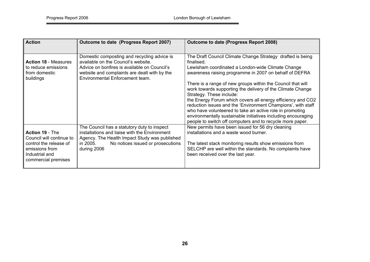| <b>Action</b>                                                                                                                    | Outcome to date (Progress Report 2007)                                                                                                                                                                                | Outcome to date (Progress Report 2008)                                                                                                                                                                                                                                                                                                                                                                                                                                                                                                                                                                                                                                    |
|----------------------------------------------------------------------------------------------------------------------------------|-----------------------------------------------------------------------------------------------------------------------------------------------------------------------------------------------------------------------|---------------------------------------------------------------------------------------------------------------------------------------------------------------------------------------------------------------------------------------------------------------------------------------------------------------------------------------------------------------------------------------------------------------------------------------------------------------------------------------------------------------------------------------------------------------------------------------------------------------------------------------------------------------------------|
| <b>Action 18 - Measures</b><br>to reduce emissions<br>from domestic<br>buildings                                                 | Domestic composting and recycling advice is<br>available on the Council's website.<br>Advice on bonfires is available on Council's<br>website and complaints are dealt with by the<br>Environmental Enforcement team. | The Draft Council Climate Change Strategy drafted is being<br>finalised.<br>Lewisham coordinated a London-wide Climate Change<br>awareness raising programme in 2007 on behalf of DEFRA<br>There is a range of new groups within the Council that will<br>work towards supporting the delivery of the Climate Change<br>Strategy. These include:<br>the Energy Forum which covers all energy efficiency and CO2<br>reduction issues and the 'Environment Champions', with staff<br>who have volunteered to take an active role in promoting<br>environmentally sustainable initiatives including encouraging<br>people to switch off computers and to recycle more paper. |
| Action 19 - The<br>Council will continue to<br>control the release of<br>emissions from<br>Industrial and<br>commercial premises | The Council has a statutory duty to inspect<br>installations and liaise with the Environment<br>Agency. The Health Impact Study was published<br>No notices issued or prosecutions<br>in 2005.<br>during 2006         | New permits have been issued for 56 dry cleaning<br>installations and a waste wood burner.<br>The latest stack monitoring results show emissions from<br>SELCHP are well within the standards. No complaints have<br>been received over the last year.                                                                                                                                                                                                                                                                                                                                                                                                                    |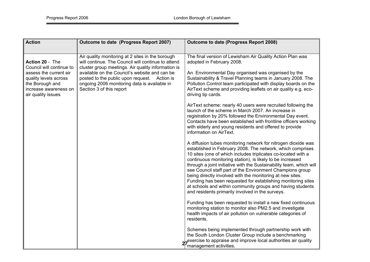| <b>Action</b>                                                                                                                                                    | Outcome to date (Progress Report 2007)                                                                                                                                                                                                                                                                                                    | <b>Outcome to date (Progress Report 2008)</b>                                                                                                                                                                                                                                                                                                                                                                                                                                                                                                                                                                                                                                                                                                                                                                                           |  |  |  |  |
|------------------------------------------------------------------------------------------------------------------------------------------------------------------|-------------------------------------------------------------------------------------------------------------------------------------------------------------------------------------------------------------------------------------------------------------------------------------------------------------------------------------------|-----------------------------------------------------------------------------------------------------------------------------------------------------------------------------------------------------------------------------------------------------------------------------------------------------------------------------------------------------------------------------------------------------------------------------------------------------------------------------------------------------------------------------------------------------------------------------------------------------------------------------------------------------------------------------------------------------------------------------------------------------------------------------------------------------------------------------------------|--|--|--|--|
|                                                                                                                                                                  |                                                                                                                                                                                                                                                                                                                                           |                                                                                                                                                                                                                                                                                                                                                                                                                                                                                                                                                                                                                                                                                                                                                                                                                                         |  |  |  |  |
| Action 20 - The<br>Council will continue to<br>assess the current air<br>quality levels across<br>the Borough and<br>increase awareness on<br>air quality issues | Air quality monitoring at 2 sites in the borough<br>will continue. The Council will continue to attend<br>cluster group meetings. Air quality information is<br>available on the Council's website and can be<br>posted to the public upon request. Action is<br>ongoing 2006 monitoring data is available in<br>Section 3 of this report | The final version of Lewisham Air Quality Action Plan was<br>adopted in February 2008.<br>An Environmental Day organised was organised by the<br>Sustainability & Travel Planning teams in January 2008. The<br>Pollution Control team participated with display boards on the<br>AirText scheme and providing leaflets on air quality e.g. eco-<br>driving tip cards.<br>AirText scheme: nearly 40 users were recruited following the<br>launch of the scheme in March 2007. An increase in<br>registration by 20% followed the Environmental Day event.<br>Contacts have been established with frontline officers working<br>with elderly and young residents and offered to provide<br>information on AirText.                                                                                                                       |  |  |  |  |
|                                                                                                                                                                  |                                                                                                                                                                                                                                                                                                                                           | A diffusion tubes monitoring network for nitrogen dioxide was<br>established in February 2008. The network, which comprises<br>10 sites (one of which includes triplicates co-located with a<br>continuous monitoring station), is likely to be increased<br>through a joint initiative with the Sustainability team, which will<br>see Council staff part of the Environment Champions group<br>being directly involved with the monitoring at new sites.<br>Funding has been requested for establishing monitoring sites<br>at schools and within community groups and having students<br>and residents primarily involved in the surveys.<br>Funding has been requested to install a new fixed continuous<br>monitoring station to monitor also PM2.5 and investigate<br>health impacts of air pollution on vulnerable categories of |  |  |  |  |
|                                                                                                                                                                  |                                                                                                                                                                                                                                                                                                                                           | residents.<br>Schemes being implemented through partnership work with<br>the South London Cluster Group include a benchmarking<br>exercise to appraise and improve local authorities air quality<br>management activities.                                                                                                                                                                                                                                                                                                                                                                                                                                                                                                                                                                                                              |  |  |  |  |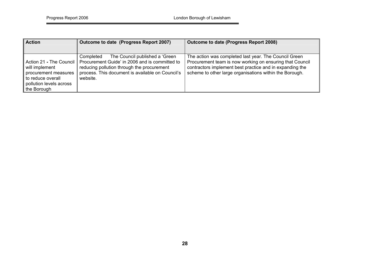| <b>Action</b>                                                                                                                         | Outcome to date (Progress Report 2007)                                                                                                                                                                       | Outcome to date (Progress Report 2008)                                                                                                                                                                                                   |
|---------------------------------------------------------------------------------------------------------------------------------------|--------------------------------------------------------------------------------------------------------------------------------------------------------------------------------------------------------------|------------------------------------------------------------------------------------------------------------------------------------------------------------------------------------------------------------------------------------------|
|                                                                                                                                       |                                                                                                                                                                                                              |                                                                                                                                                                                                                                          |
| Action 21 - The Council  <br>will implement<br>procurement measures<br>to reduce overall<br>pollution levels across<br>If the Borough | The Council published a 'Green'<br>Completed<br>Procurement Guide' in 2006 and is committed to<br>reducing pollution through the procurement<br>process. This document is available on Council's<br>website. | The action was completed last year. The Council Green<br>Procurement team is now working on ensuring that Council<br>contractors implement best practice and in expanding the<br>scheme to other large organisations within the Borough. |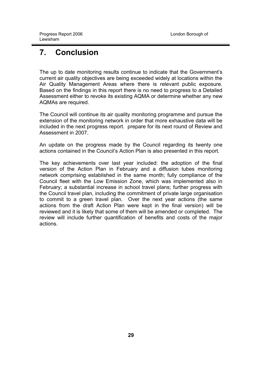# <span id="page-28-0"></span>**7. Conclusion**

The up to date monitoring results continue to indicate that the Government's current air quality objectives are being exceeded widely at locations within the Air Quality Management Areas where there is relevant public exposure. Based on the findings in this report there is no need to progress to a Detailed Assessment either to revoke its existing AQMA or determine whether any new AQMAs are required.

The Council will continue its air quality monitoring programme and pursue the extension of the monitoring network in order that more exhaustive data will be included in the next progress report. prepare for its next round of Review and Assessment in 2007.

An update on the progress made by the Council regarding its twenty one actions contained in the Council's Action Plan is also presented in this report.

The key achievements over last year included: the adoption of the final version of the Action Plan in February and a diffusion tubes monitoring network comprising established in the same month; fully compliance of the Council fleet with the Low Emission Zone, which was implemented also in February; a substantial increase in school travel plans; further progress with the Council travel plan, including the commitment of private large organisation to commit to a green travel plan. Over the next year actions (the same actions from the draft Action Plan were kept in the final version) will be reviewed and it is likely that some of them will be amended or completed. The review will include further quantification of benefits and costs of the major actions.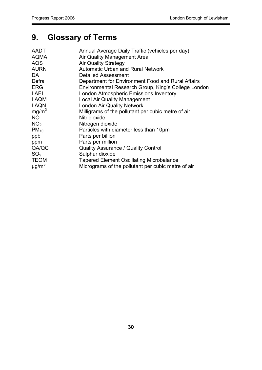# <span id="page-29-0"></span>**9. Glossary of Terms**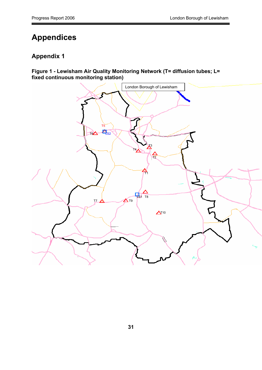# <span id="page-30-0"></span>**Appendices**

## **Appendix 1**

**Figure 1 - Lewisham Air Quality Monitoring Network (T= diffusion tubes; L= fixed continuous monitoring station)** 

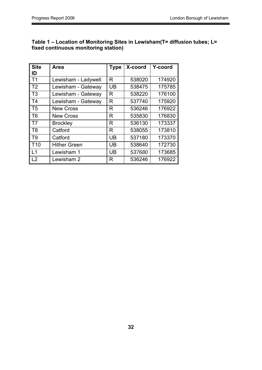| <b>Site</b><br>ID | Area                | <b>Type</b> | X-coord | Y-coord |
|-------------------|---------------------|-------------|---------|---------|
| T <sub>1</sub>    | Lewisham - Ladywell | R           | 538020  | 174920  |
| T <sub>2</sub>    | Lewisham - Gateway  | UB          | 538475  | 175785  |
| T <sub>3</sub>    | Lewisham - Gateway  | R           | 538220  | 176100  |
| T <sub>4</sub>    | Lewisham - Gateway  | R           | 537740  | 175920  |
| T <sub>5</sub>    | <b>New Cross</b>    | R           | 536246  | 176922  |
| T <sub>6</sub>    | <b>New Cross</b>    | R           | 535830  | 176830  |
| T7                | <b>Brockley</b>     | R           | 536130  | 173337  |
| T <sub>8</sub>    | Catford             | R           | 538055  | 173810  |
| T <sub>9</sub>    | Catford             | UB          | 537180  | 173370  |
| T <sub>10</sub>   | <b>Hither Green</b> | <b>UB</b>   | 538640  | 172730  |
| $\overline{1}$ 1  | Lewisham 1          | UB          | 537680  | 173685  |
| L2                | Lewisham 2          | R           | 536246  | 176922  |

#### **Table 1 – Location of Monitoring Sites in Lewisham(T= diffusion tubes; L= fixed continuous monitoring station)**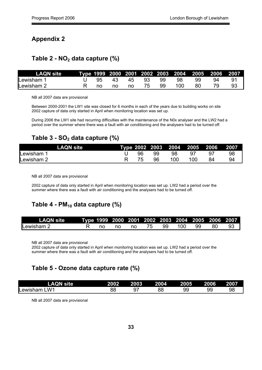#### **Appendix 2**

#### **Table 2 - NO2 data capture (%)**

| LAQN site l |      |    |    |             |      |               |      |     |    |
|-------------|------|----|----|-------------|------|---------------|------|-----|----|
| Lewisham 1  |      |    |    | 95 43 45 93 | - 99 | $\cdots$ 98 - | 99.  | 94  |    |
| Lewisham 2  | — no | no | no | 75.         | 99   | 100           | -80- | 79. | 93 |

NB all 2007 data are provisional

Between 2000-2001 the LW1 site was closed for 6 months in each of the years due to building works on site 2002 capture of data only started in April when monitoring location was set up.

During 2006 the LW1 site had recurring difficulties with the maintenance of the N0x analyser and the LW2 had a period over the summer where there was a fault with air conditioning and the analysers had to be turned off.

### Table 3 - SO<sub>2</sub> data capture (%)

| <b>LAQN</b> site      |    |    | Type 2002 2003 2004 2005 2006 |     | 2007 |
|-----------------------|----|----|-------------------------------|-----|------|
| Lewisham <sup>®</sup> | 96 | 99 | 98                            | 97  | 98   |
| Lewisham 2            |    | 96 | 100                           | 100 | 94   |

NB all 2007 data are provisional

2002 capture of data only started in April when monitoring location was set up. LW2 had a period over the summer where there was a fault with air conditioning and the analysers had to be turned off.

## Table 4 - PM<sub>10</sub> data capture (%)

| LAQN site  |    |  |    |        |      | Type 1999 2000 2001 2002 2003 2004 200 <u>5 2006 2007</u> |
|------------|----|--|----|--------|------|-----------------------------------------------------------|
| Lewisham 2 | no |  | 99 | 100 99 | - 80 | -93                                                       |

NB all 2007 data are provisional

2002 capture of data only started in April when monitoring location was set up. LW2 had a period over the summer where there was a fault with air conditioning and the analysers had to be turned off.

| Table 5 - Ozone data capture rate (%) |             |      |      |      |      |      |  |  |  |
|---------------------------------------|-------------|------|------|------|------|------|--|--|--|
| <b>LAQN site</b>                      | <b>2002</b> | 2003 | 2004 | 2005 | 2006 | 2007 |  |  |  |
| Lewisham LW1                          | 88          |      | 88   | 99   | 99   | 98   |  |  |  |

NB all 2007 data are provisional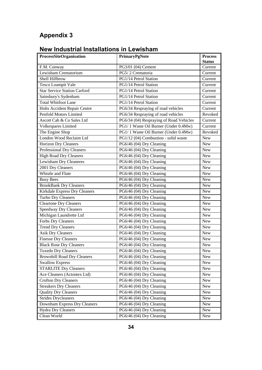# **Appendix 3**

# **New Industrial Installations in Lewisham**

| ProcessSiteOrganisation             | PrimaryPgNote                           | <b>Process</b> |
|-------------------------------------|-----------------------------------------|----------------|
|                                     |                                         | <b>Status</b>  |
| F.M. Conway                         | PG3/01 (04) Cement                      | Current        |
| Lewisham Crematorium                | PG5/2 Crematoria                        | Current        |
| Shell Hillbrow                      | PG1/14 Petrol Station                   | Current        |
| <b>Tesco Loampit Vale</b>           | PG1/14 Petrol Station                   | Current        |
| <b>Star Service Station Carford</b> | PG1/14 Petrol Station                   | Current        |
| Sainsbury's Sydenham                | PG1/14 Petrol Station                   | Current        |
| <b>Total Whitfoot Lane</b>          | PG1/14 Petrol Station                   | Current        |
| <b>Holts Accident Repair Centre</b> | PG6/34 Respraying of road vehicles      | Current        |
| Penfold Motors Limited              | PG6/34 Respraying of road vehicles      | Revoked        |
| Ascott Cab & Co Sales Ltd           | PG6/34 (04) Respraying of Road Vehicles | Current        |
| Volkespares Limited                 | PG1/1 Waste Oil Burner (Under 0.4Mw)    | Current        |
| The Engine Shop                     | PG1/1 Waste Oil Burner (Under 0.4Mw)    | Revoked        |
| London Wood Reclaim Ltd             | PG1/12 (04) Combustion - solid waste    | New            |
| Horizon Dry Cleaners                | PG6/46 (04) Dry Cleaning                | <b>New</b>     |
| Professional Dry Cleaners           | PG6/46 (04) Dry Cleaning                | New            |
| <b>High Road Dry Cleaners</b>       | PG6/46 (04) Dry Cleaning                | <b>New</b>     |
| <b>Lewisham Dry Cleaneres</b>       | PG6/46 (04) Dry Cleaning                | New            |
| 2001 Dry Cleaners                   | PG6/46 (04) Dry Cleaning                | New            |
| Whistle and Flute                   | PG6/46 (04) Dry Cleaning                | New            |
| <b>Busy Bees</b>                    | PG6/46 (04) Dry Cleaning                | <b>New</b>     |
| <b>BrookBank Dry Cleaners</b>       | PG6/46 (04) Dry Cleaning                | New            |
| Kirkdale Express Dry Cleaners       | PG6/46 (04) Dry Cleaning                | <b>New</b>     |
| Turbo Dry Cleaners                  | PG6/46 (04) Dry Cleaning                | New            |
| Cleartone Dry Cleaners              | PG6/46 (04) Dry Cleaning                | <b>New</b>     |
| <b>Speedway Dry Cleaners</b>        | PG6/46 (04) Dry Cleaning                | <b>New</b>     |
| Michigan Laundrette Ltd             | PG6/46 (04) Dry Cleaning                | <b>New</b>     |
| Forbs Dry Cleaners                  | PG6/46 (04) Dry Cleaning                | New            |
| <b>Trend Dry Cleaners</b>           | PG6/46 (04) Dry Cleaning                | <b>New</b>     |
| <b>Asik Dry Cleaners</b>            | PG6/46 (04) Dry Cleaning                | <b>New</b>     |
| <b>Finesse Dry Cleaners</b>         | PG6/46 (04) Dry Cleaning                | New            |
| <b>Black Rose Dry Cleaners</b>      | PG6/46 (04) Dry Cleaning                | New            |
| Tuxedo Dry Cleaners                 | PG6/46 (04) Dry Cleaning                | New            |
| <b>Brownhill Road Dry Cleaners</b>  | PG6/46 (04) Dry Cleaning                | New            |
| <b>Swallow Express</b>              | PG6/46 (04) Dry Cleaning                | New            |
| <b>STARLITE Dry Cleaners</b>        | PG6/46 (04) Dry Cleaning                | New            |
| Ace Cleaners (Actontex Ltd)         | PG6/46 (04) Dry Cleaning                | <b>New</b>     |
| <b>Crofton Dry Cleaners</b>         | PG6/46 (04) Dry Cleaning                | <b>New</b>     |
| <b>Streakers Dry Cleaners</b>       | PG6/46 (04) Dry Cleaning                | New            |
| <b>Quality Dry Cleaners</b>         | PG6/46 (04) Dry Cleaning                | New            |
| <b>Strides Drycleaners</b>          | PG6/46 (04) Dry Cleaning                | New            |
| Downham Express Dry Cleaners        | PG6/46 (04) Dry Cleaning                | New            |
| Hydra Dry Cleaners                  | PG6/46 (04) Dry Cleaning                | New            |
| Clean World                         | PG6/46 (04) Dry Cleaning                | New            |